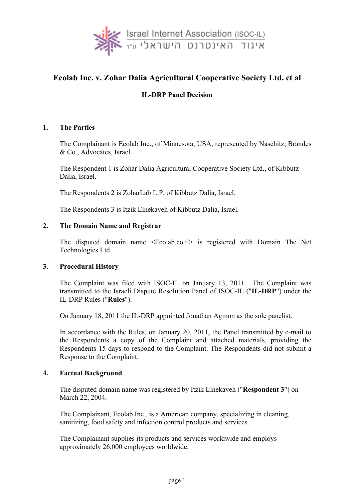

# **Ecolab Inc. v. Zohar Dalia Agricultural Cooperative Society Ltd. et al**

## **IL-DRP Panel Decision**

### **1. The Parties**

The Complainant is Ecolab Inc., of Minnesota, USA, represented by Naschitz, Brandes & Co., Advocates, Israel.

The Respondent 1 is Zohar Dalia Agricultural Cooperative Society Ltd., of Kibbutz Dalia, Israel.

The Respondents 2 is ZoharLab L.P. of Kibbutz Dalia, Israel.

The Respondents 3 is Itzik Elnekaveh of Kibbutz Dalia, Israel.

#### **2. The Domain Name and Registrar**

The disputed domain name <Ecolab.co.il> is registered with Domain The Net Technologies Ltd.

#### **3. Procedural History**

The Complaint was filed with ISOC-IL on January 13, 2011. The Complaint was transmitted to the Israeli Dispute Resolution Panel of ISOC-IL ("**IL-DRP**") under the IL-DRP Rules ("**Rules**").

On January 18, 2011 the IL-DRP appointed Jonathan Agmon as the sole panelist.

In accordance with the Rules, on January 20, 2011, the Panel transmitted by e-mail to the Respondents a copy of the Complaint and attached materials, providing the Respondents 15 days to respond to the Complaint. The Respondents did not submit a Response to the Complaint.

#### **4. Factual Background**

The disputed domain name was registered by Itzik Elnekaveh ("**Respondent 3**") on March 22, 2004.

The Complainant, Ecolab Inc., is a American company, specializing in cleaning, sanitizing, food safety and infection control products and services.

The Complainant supplies its products and services worldwide and employs approximately 26,000 employees worldwide.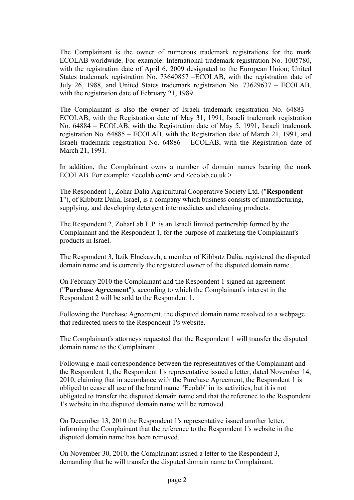The Complainant is the owner of numerous trademark registrations for the mark ECOLAB worldwide. For example: International trademark registration No. 1005780, with the registration date of April 6, 2009 designated to the European Union; United States trademark registration No. 73640857 –ECOLAB, with the registration date of July 26, 1988, and United States trademark registration No. 73629637 – ECOLAB, with the registration date of February 21, 1989.

The Complainant is also the owner of Israeli trademark registration No. 64883 – ECOLAB, with the Registration date of May 31, 1991, Israeli trademark registration No. 64884 – ECOLAB, with the Registration date of May 5, 1991, Israeli trademark registration No. 64885 – ECOLAB, with the Registration date of March 21, 1991, and Israeli trademark registration No. 64886 – ECOLAB, with the Registration date of March 21, 1991.

In addition, the Complainant owns a number of domain names bearing the mark ECOLAB. For example:  $\le$ ecolab.com > and  $\le$ ecolab.co.uk >.

The Respondent 1, Zohar Dalia Agricultural Cooperative Society Ltd. ("**Respondent 1**"), of Kibbutz Dalia, Israel, is a company which business consists of manufacturing, supplying, and developing detergent intermediates and cleaning products.

The Respondent 2, ZoharLab L.P. is an Israeli limited partnership formed by the Complainant and the Respondent 1, for the purpose of marketing the Complainant's products in Israel.

The Respondent 3, Itzik Elnekaveh, a member of Kibbutz Dalia, registered the disputed domain name and is currently the registered owner of the disputed domain name.

On February 2010 the Complainant and the Respondent 1 signed an agreement ("**Purchase Agreement**"), according to which the Complainant's interest in the Respondent 2 will be sold to the Respondent 1.

Following the Purchase Agreement, the disputed domain name resolved to a webpage that redirected users to the Respondent 1's website.

The Complainant's attorneys requested that the Respondent 1 will transfer the disputed domain name to the Complainant.

Following e-mail correspondence between the representatives of the Complainant and the Respondent 1, the Respondent 1's representative issued a letter, dated November 14, 2010, claiming that in accordance with the Purchase Agreement, the Respondent 1 is obliged to cease all use of the brand name "Ecolab" in its activities, but it is not obligated to transfer the disputed domain name and that the reference to the Respondent 1's website in the disputed domain name will be removed.

On December 13, 2010 the Respondent 1's representative issued another letter, informing the Complainant that the reference to the Respondent 1's website in the disputed domain name has been removed.

On November 30, 2010, the Complainant issued a letter to the Respondent 3, demanding that he will transfer the disputed domain name to Complainant.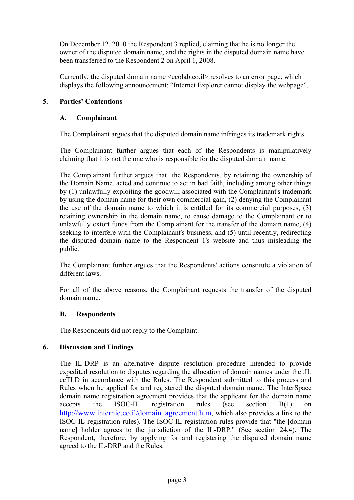On December 12, 2010 the Respondent 3 replied, claiming that he is no longer the owner of the disputed domain name, and the rights in the disputed domain name have been transferred to the Respondent 2 on April 1, 2008.

Currently, the disputed domain name <ecolab.co.il> resolves to an error page, which displays the following announcement: "Internet Explorer cannot display the webpage".

### **5. Parties' Contentions**

### **A. Complainant**

The Complainant argues that the disputed domain name infringes its trademark rights.

The Complainant further argues that each of the Respondents is manipulatively claiming that it is not the one who is responsible for the disputed domain name.

The Complainant further argues that the Respondents, by retaining the ownership of the Domain Name, acted and continue to act in bad faith, including among other things by (1) unlawfully exploiting the goodwill associated with the Complainant's trademark by using the domain name for their own commercial gain, (2) denying the Complainant the use of the domain name to which it is entitled for its commercial purposes, (3) retaining ownership in the domain name, to cause damage to the Complainant or to unlawfully extort funds from the Complainant for the transfer of the domain name, (4) seeking to interfere with the Complainant's business, and (5) until recently, redirecting the disputed domain name to the Respondent 1's website and thus misleading the public.

The Complainant further argues that the Respondents' actions constitute a violation of different laws.

For all of the above reasons, the Complainant requests the transfer of the disputed domain name.

### **B. Respondents**

The Respondents did not reply to the Complaint.

### **6. Discussion and Findings**

The IL-DRP is an alternative dispute resolution procedure intended to provide expedited resolution to disputes regarding the allocation of domain names under the .IL ccTLD in accordance with the Rules. The Respondent submitted to this process and Rules when he applied for and registered the disputed domain name. The InterSpace domain name registration agreement provides that the applicant for the domain name accepts the ISOC-IL registration rules (see section B(1) on http://www.internic.co.il/domain\_agreement.htm, which also provides a link to the ISOC-IL registration rules). The ISOC-IL registration rules provide that "the [domain name] holder agrees to the jurisdiction of the IL-DRP." (See section 24.4). The Respondent, therefore, by applying for and registering the disputed domain name agreed to the IL-DRP and the Rules.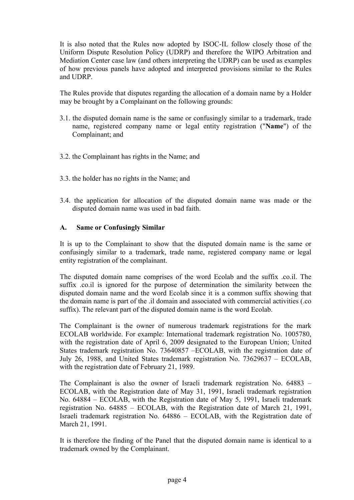It is also noted that the Rules now adopted by ISOC-IL follow closely those of the Uniform Dispute Resolution Policy (UDRP) and therefore the WIPO Arbitration and Mediation Center case law (and others interpreting the UDRP) can be used as examples of how previous panels have adopted and interpreted provisions similar to the Rules and UDRP.

The Rules provide that disputes regarding the allocation of a domain name by a Holder may be brought by a Complainant on the following grounds:

- 3.1. the disputed domain name is the same or confusingly similar to a trademark, trade name, registered company name or legal entity registration ("**Name**") of the Complainant; and
- 3.2. the Complainant has rights in the Name; and
- 3.3. the holder has no rights in the Name; and
- 3.4. the application for allocation of the disputed domain name was made or the disputed domain name was used in bad faith.

#### **A. Same or Confusingly Similar**

It is up to the Complainant to show that the disputed domain name is the same or confusingly similar to a trademark, trade name, registered company name or legal entity registration of the complainant.

The disputed domain name comprises of the word Ecolab and the suffix .co.il. The suffix .co.il is ignored for the purpose of determination the similarity between the disputed domain name and the word Ecolab since it is a common suffix showing that the domain name is part of the .il domain and associated with commercial activities (.co suffix). The relevant part of the disputed domain name is the word Ecolab.

The Complainant is the owner of numerous trademark registrations for the mark ECOLAB worldwide. For example: International trademark registration No. 1005780, with the registration date of April 6, 2009 designated to the European Union; United States trademark registration No. 73640857 –ECOLAB, with the registration date of July 26, 1988, and United States trademark registration No. 73629637 – ECOLAB, with the registration date of February 21, 1989.

The Complainant is also the owner of Israeli trademark registration No. 64883 – ECOLAB, with the Registration date of May 31, 1991, Israeli trademark registration No. 64884 – ECOLAB, with the Registration date of May 5, 1991, Israeli trademark registration No. 64885 – ECOLAB, with the Registration date of March 21, 1991, Israeli trademark registration No. 64886 – ECOLAB, with the Registration date of March 21, 1991.

It is therefore the finding of the Panel that the disputed domain name is identical to a trademark owned by the Complainant.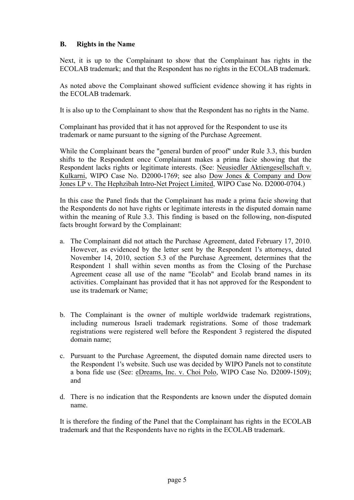### **B. Rights in the Name**

Next, it is up to the Complainant to show that the Complainant has rights in the ECOLAB trademark; and that the Respondent has no rights in the ECOLAB trademark.

As noted above the Complainant showed sufficient evidence showing it has rights in the ECOLAB trademark.

It is also up to the Complainant to show that the Respondent has no rights in the Name.

Complainant has provided that it has not approved for the Respondent to use its trademark or name pursuant to the signing of the Purchase Agreement.

While the Complainant bears the "general burden of proof" under Rule 3.3, this burden shifts to the Respondent once Complainant makes a prima facie showing that the Respondent lacks rights or legitimate interests. (See: Neusiedler Aktiengesellschaft v. Kulkarni, WIPO Case No. D2000-1769; see also Dow Jones & Company and Dow Jones LP v. The Hephzibah Intro-Net Project Limited, WIPO Case No. D2000-0704.)

In this case the Panel finds that the Complainant has made a prima facie showing that the Respondents do not have rights or legitimate interests in the disputed domain name within the meaning of Rule 3.3. This finding is based on the following, non-disputed facts brought forward by the Complainant:

- a. The Complainant did not attach the Purchase Agreement, dated February 17, 2010. However, as evidenced by the letter sent by the Respondent 1's attorneys, dated November 14, 2010, section 5.3 of the Purchase Agreement, determines that the Respondent 1 shall within seven months as from the Closing of the Purchase Agreement cease all use of the name "Ecolab" and Ecolab brand names in its activities. Complainant has provided that it has not approved for the Respondent to use its trademark or Name;
- b. The Complainant is the owner of multiple worldwide trademark registrations, including numerous Israeli trademark registrations. Some of those trademark registrations were registered well before the Respondent 3 registered the disputed domain name;
- c. Pursuant to the Purchase Agreement, the disputed domain name directed users to the Respondent 1's website. Such use was decided by WIPO Panels not to constitute a bona fide use (See: eDreams, Inc. v. Choi Polo, WIPO Case No. D2009-1509); and
- d. There is no indication that the Respondents are known under the disputed domain name.

It is therefore the finding of the Panel that the Complainant has rights in the ECOLAB trademark and that the Respondents have no rights in the ECOLAB trademark.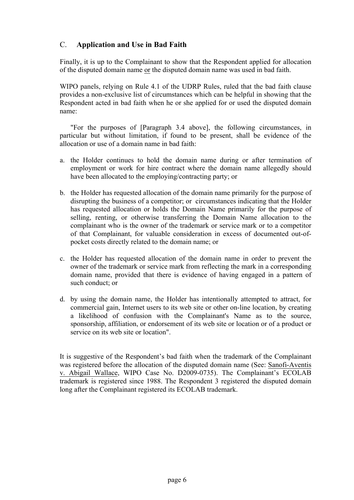## C. **Application and Use in Bad Faith**

Finally, it is up to the Complainant to show that the Respondent applied for allocation of the disputed domain name or the disputed domain name was used in bad faith.

WIPO panels, relying on Rule 4.1 of the UDRP Rules, ruled that the bad faith clause provides a non-exclusive list of circumstances which can be helpful in showing that the Respondent acted in bad faith when he or she applied for or used the disputed domain name:

"For the purposes of [Paragraph 3.4 above], the following circumstances, in particular but without limitation, if found to be present, shall be evidence of the allocation or use of a domain name in bad faith:

- a. the Holder continues to hold the domain name during or after termination of employment or work for hire contract where the domain name allegedly should have been allocated to the employing/contracting party; or
- b. the Holder has requested allocation of the domain name primarily for the purpose of disrupting the business of a competitor; or circumstances indicating that the Holder has requested allocation or holds the Domain Name primarily for the purpose of selling, renting, or otherwise transferring the Domain Name allocation to the complainant who is the owner of the trademark or service mark or to a competitor of that Complainant, for valuable consideration in excess of documented out-ofpocket costs directly related to the domain name; or
- c. the Holder has requested allocation of the domain name in order to prevent the owner of the trademark or service mark from reflecting the mark in a corresponding domain name, provided that there is evidence of having engaged in a pattern of such conduct; or
- d. by using the domain name, the Holder has intentionally attempted to attract, for commercial gain, Internet users to its web site or other on-line location, by creating a likelihood of confusion with the Complainant's Name as to the source, sponsorship, affiliation, or endorsement of its web site or location or of a product or service on its web site or location".

It is suggestive of the Respondent's bad faith when the trademark of the Complainant was registered before the allocation of the disputed domain name (See: Sanofi-Aventis v. Abigail Wallace, WIPO Case No. D2009-0735). The Complainant's ECOLAB trademark is registered since 1988. The Respondent 3 registered the disputed domain long after the Complainant registered its ECOLAB trademark.